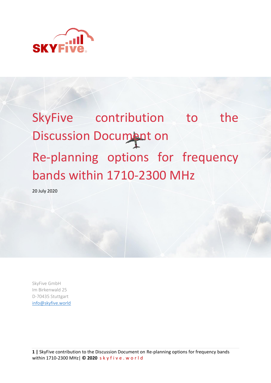

# SkyFive contribution to the Discussion Document on Re-planning options for frequency bands within 1710-2300 MHz

20 July 2020

SkyFive GmbH Im Birkenwald 25 D-70435 Stuttgart [info@skyfive.world](mailto:info@skyfive.world)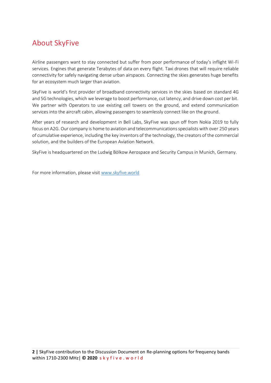# About SkyFive

Airline passengers want to stay connected but suffer from poor performance of today's inflight Wi-Fi services. Engines that generate Terabytes of data on every flight. Taxi drones that will require reliable connectivity for safely navigating dense urban airspaces. Connecting the skies generates huge benefits for an ecosystem much larger than aviation.

SkyFive is world's first provider of broadband connectivity services in the skies based on standard 4G and 5G technologies, which we leverage to boost performance, cut latency, and drive down cost per bit. We partner with Operators to use existing cell towers on the ground, and extend communication services into the aircraft cabin, allowing passengers to seamlessly connect like on the ground.

After years of research and development in Bell Labs, SkyFive was spun off from Nokia 2019 to fully focus on A2G. Our company is home to aviation and telecommunications specialists with over 250 years of cumulative experience, including the key inventors of the technology, the creators of the commercial solution, and the builders of the European Aviation Network.

SkyFive is headquartered on the Ludwig Bölkow Aerospace and Security Campus in Munich, Germany.

For more information, please visit [www.skyfive.world](http://www.skyfive.world/)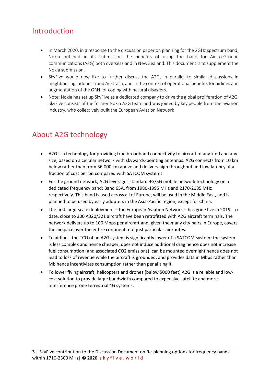# Introduction

- In March 2020, in a response to the discussion paper on planning for the 2GHz spectrum band, Nokia outlined in its submission the benefits of using the band for Air-to-Ground communications (A2G) both overseas and in New Zealand. This document is to supplement the Nokia submission.
- SkyFive would now like to further discuss the A2G, in parallel to similar discussions in neighbouring Indonesia and Australia, and in the context of operational benefits for airlines and augmentation of the GRN for coping with natural disasters.
- Note: Nokia has set up SkyFive as a dedicated company to drive the global proliferation of A2G: SkyFive consists of the former Nokia A2G team and was joined by key people from the aviation industry, who collectively built the European Aviation Network

# About A2G technology

- A2G is a technology for providing true broadband connectivity to aircraft of any kind and any size, based on a cellular network with skywards-pointing antennas. A2G connects from 10 km below rather than from 36.000 km above and delivers high throughput and low latency at a fraction of cost per bit compared with SATCOM systems.
- For the ground network, A2G leverages standard 4G/5G mobile network technology on a dedicated frequency band: Band 65A, from 1980-1995 MHz and 2170-2185 MHz respectively. This band is used across all of Europe, will be used in the Middle East, and is planned to be used by early adopters in the Asia-Pacific region, except for China.
- The first large-scale deployment the European Aviation Network has gone live in 2019. To date, close to 300 A320/321 aircraft have been retrofitted with A2G aircraft terminals. The network delivers up to 100 Mbps per aircraft and, given the many city pairs in Europe, covers the airspace over the entire continent, not just particular air routes.
- To airlines, the TCO of an A2G system is significantly lower of a SATCOM system: the system is less complex and hence cheaper, does not induce additional drag hence does not increase fuel consumption (and associated CO2 emissions), can be mounted overnight hence does not lead to loss of revenue while the aircraft is grounded, and provides data in Mbps rather than Mb hence incentivizes consumption rather than penalizing it.
- To lower flying aircraft, helicopters and drones (below 5000 feet) A2G is a reliable and lowcost solution to provide large bandwidth compared to expensive satellite and more interference prone terrestrial 4G systems.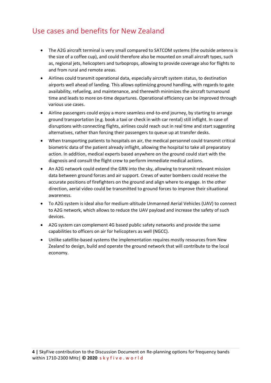### Use cases and benefits for New Zealand

- The A2G aircraft terminal is very small compared to SATCOM systems (the outside antenna is the size of a coffee cup), and could therefore also be mounted on small aircraft types, such as, regional jets, helicopters and turboprops, allowing to provide coverage also for flights to and from rural and remote areas.
- Airlines could transmit operational data, especially aircraft system status, to destination airports well ahead of landing. This allows optimizing ground handling, with regards to gate availability, refueling, and maintenance, and therewith minimizes the aircraft turnaround time and leads to more on-time departures. Operational efficiency can be improved through various use cases.
- Airline passengers could enjoy a more seamless end-to-end journey, by starting to arrange ground transportation (e.g. book a taxi or check in with car rental) still inflight. In case of disruptions with connecting flights, airlines could reach out in real time and start suggesting alternatives, rather than forcing their passengers to queue up at transfer desks.
- When transporting patients to hospitals on air, the medical personnel could transmit critical biometric data of the patient already inflight, allowing the hospital to take all preparatory action. In addition, medical experts based anywhere on the ground could start with the diagnosis and consult the flight crew to perform immediate medical actions.
- An A2G network could extend the GRN into the sky, allowing to transmit relevant mission data between ground forces and air support. Crews of water bombers could receive the accurate positions of firefighters on the ground and align where to engage. In the other direction, aerial video could be transmitted to ground forces to improve their situational awareness.
- To A2G system is ideal also for medium-altitude Unmanned Aerial Vehicles (UAV) to connect to A2G network, which allows to reduce the UAV payload and increase the safety of such devices.
- A2G system can complement 4G based public safety networks and provide the same capabilities to officers on air for helicopters as well (NGCC).
- Unlike satellite-based systems the implementation requires mostly resources from New Zealand to design, build and operate the ground network that will contribute to the local economy.